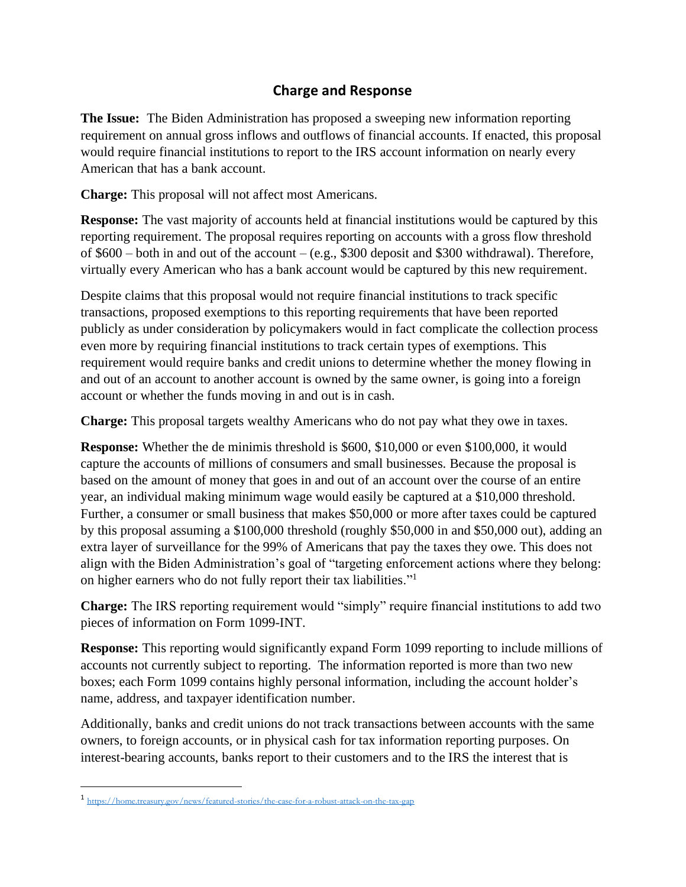## **Charge and Response**

**The Issue:** The Biden Administration has proposed a sweeping new information reporting requirement on annual gross inflows and outflows of financial accounts. If enacted, this proposal would require financial institutions to report to the IRS account information on nearly every American that has a bank account.

**Charge:** This proposal will not affect most Americans.

**Response:** The vast majority of accounts held at financial institutions would be captured by this reporting requirement. The proposal requires reporting on accounts with a gross flow threshold of \$600 – both in and out of the account – (e.g., \$300 deposit and \$300 withdrawal). Therefore, virtually every American who has a bank account would be captured by this new requirement.

Despite claims that this proposal would not require financial institutions to track specific transactions, proposed exemptions to this reporting requirements that have been reported publicly as under consideration by policymakers would in fact complicate the collection process even more by requiring financial institutions to track certain types of exemptions. This requirement would require banks and credit unions to determine whether the money flowing in and out of an account to another account is owned by the same owner, is going into a foreign account or whether the funds moving in and out is in cash.

**Charge:** This proposal targets wealthy Americans who do not pay what they owe in taxes.

**Response:** Whether the de minimis threshold is \$600, \$10,000 or even \$100,000, it would capture the accounts of millions of consumers and small businesses. Because the proposal is based on the amount of money that goes in and out of an account over the course of an entire year, an individual making minimum wage would easily be captured at a \$10,000 threshold. Further, a consumer or small business that makes \$50,000 or more after taxes could be captured by this proposal assuming a \$100,000 threshold (roughly \$50,000 in and \$50,000 out), adding an extra layer of surveillance for the 99% of Americans that pay the taxes they owe. This does not align with the Biden Administration's goal of "targeting enforcement actions where they belong: on higher earners who do not fully report their tax liabilities."<sup>1</sup>

**Charge:** The IRS reporting requirement would "simply" require financial institutions to add two pieces of information on Form 1099-INT.

**Response:** This reporting would significantly expand Form 1099 reporting to include millions of accounts not currently subject to reporting. The information reported is more than two new boxes; each Form 1099 contains highly personal information, including the account holder's name, address, and taxpayer identification number.

Additionally, banks and credit unions do not track transactions between accounts with the same owners, to foreign accounts, or in physical cash for tax information reporting purposes. On interest-bearing accounts, banks report to their customers and to the IRS the interest that is

<sup>1</sup> <https://home.treasury.gov/news/featured-stories/the-case-for-a-robust-attack-on-the-tax-gap>